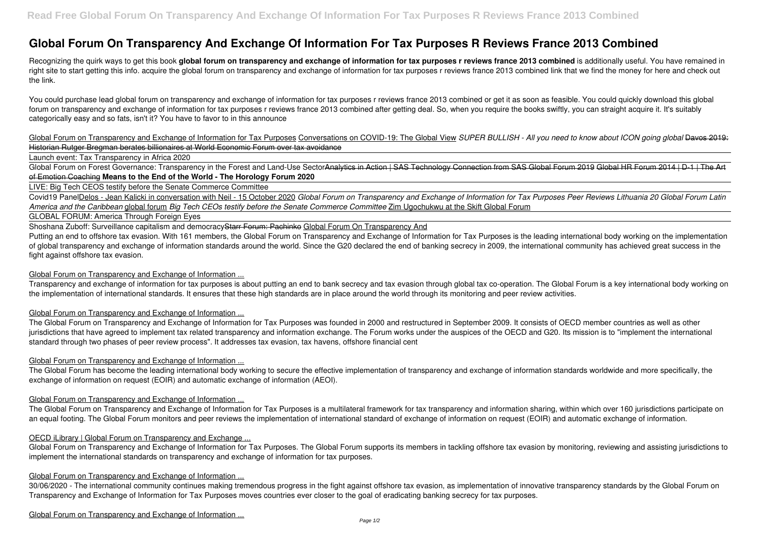# **Global Forum On Transparency And Exchange Of Information For Tax Purposes R Reviews France 2013 Combined**

Recognizing the quirk ways to get this book global forum on transparency and exchange of information for tax purposes r reviews france 2013 combined is additionally useful. You have remained in right site to start getting this info. acquire the global forum on transparency and exchange of information for tax purposes r reviews france 2013 combined link that we find the money for here and check out the link.

You could purchase lead global forum on transparency and exchange of information for tax purposes r reviews france 2013 combined or get it as soon as feasible. You could quickly download this global forum on transparency and exchange of information for tax purposes r reviews france 2013 combined after getting deal. So, when you require the books swiftly, you can straight acquire it. It's suitably categorically easy and so fats, isn't it? You have to favor to in this announce

Global Forum on Transparency and Exchange of Information for Tax Purposes Conversations on COVID-19: The Global View *SUPER BULLISH - All you need to know about ICON going global* Davos 2019: Historian Rutger Bregman berates billionaires at World Economic Forum over tax avoidance

Global Forum on Forest Governance: Transparency in the Forest and Land-Use SectorAnalytics in Action | SAS Technology Connection from SAS Global Forum 2019 Global HR Forum 2014 | D-1 | The Art of Emotion Coaching **Means to the End of the World - The Horology Forum 2020**

Putting an end to offshore tax evasion. With 161 members, the Global Forum on Transparency and Exchange of Information for Tax Purposes is the leading international body working on the implementation of global transparency and exchange of information standards around the world. Since the G20 declared the end of banking secrecy in 2009, the international community has achieved great success in the fight against offshore tax evasion.

Launch event: Tax Transparency in Africa 2020

LIVE: Big Tech CEOS testify before the Senate Commerce Committee

Covid19 PanelDelos - Jean Kalicki in conversation with Neil - 15 October 2020 *Global Forum on Transparency and Exchange of Information for Tax Purposes Peer Reviews Lithuania 20 Global Forum Latin America and the Caribbean* global forum *Big Tech CEOs testify before the Senate Commerce Committee* Zim Ugochukwu at the Skift Global Forum

GLOBAL FORUM: America Through Foreign Eyes

Shoshana Zuboff: Surveillance capitalism and democracyStarr Forum: Pachinko Global Forum On Transparency And

Global Forum on Transparency and Exchange of Information for Tax Purposes. The Global Forum supports its members in tackling offshore tax evasion by monitoring, reviewing and assisting jurisdictions to implement the international standards on transparency and exchange of information for tax purposes.

# Global Forum on Transparency and Exchange of Information ...

Transparency and exchange of information for tax purposes is about putting an end to bank secrecy and tax evasion through global tax co-operation. The Global Forum is a key international body working on the implementation of international standards. It ensures that these high standards are in place around the world through its monitoring and peer review activities.

# Global Forum on Transparency and Exchange of Information ...

The Global Forum on Transparency and Exchange of Information for Tax Purposes was founded in 2000 and restructured in September 2009. It consists of OECD member countries as well as other jurisdictions that have agreed to implement tax related transparency and information exchange. The Forum works under the auspices of the OECD and G20. Its mission is to "implement the international standard through two phases of peer review process". It addresses tax evasion, tax havens, offshore financial cent

# Global Forum on Transparency and Exchange of Information ...

The Global Forum has become the leading international body working to secure the effective implementation of transparency and exchange of information standards worldwide and more specifically, the exchange of information on request (EOIR) and automatic exchange of information (AEOI).

# Global Forum on Transparency and Exchange of Information ...

The Global Forum on Transparency and Exchange of Information for Tax Purposes is a multilateral framework for tax transparency and information sharing, within which over 160 jurisdictions participate on an equal footing. The Global Forum monitors and peer reviews the implementation of international standard of exchange of information on request (EOIR) and automatic exchange of information.

# OECD iLibrary | Global Forum on Transparency and Exchange ...

#### Global Forum on Transparency and Exchange of Information ...

30/06/2020 - The international community continues making tremendous progress in the fight against offshore tax evasion, as implementation of innovative transparency standards by the Global Forum on Transparency and Exchange of Information for Tax Purposes moves countries ever closer to the goal of eradicating banking secrecy for tax purposes.

Global Forum on Transparency and Exchange of Information ...